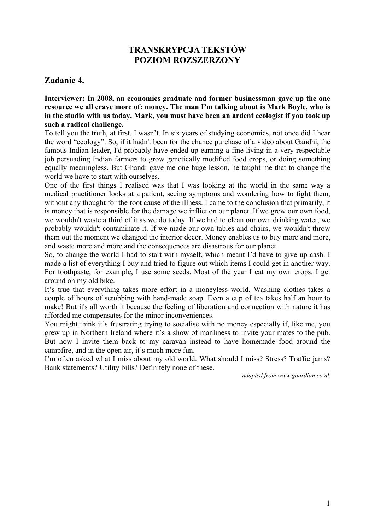# **TRANSKRYPCJA TEKSTÓW POZIOM ROZSZERZONY**

## **Zadanie 4.**

**Interviewer: In 2008, an economics graduate and former businessman gave up the one resource we all crave more of: money. The man I'm talking about is Mark Boyle, who is in the studio with us today. Mark, you must have been an ardent ecologist if you took up such a radical challenge.** 

To tell you the truth, at first, I wasn't. In six years of studying economics, not once did I hear the word "ecology". So, if it hadn't been for the chance purchase of a video about Gandhi, the famous Indian leader, I'd probably have ended up earning a fine living in a very respectable job persuading Indian farmers to grow genetically modified food crops, or doing something equally meaningless. But Ghandi gave me one huge lesson, he taught me that to change the world we have to start with ourselves.

One of the first things I realised was that I was looking at the world in the same way a medical practitioner looks at a patient, seeing symptoms and wondering how to fight them, without any thought for the root cause of the illness. I came to the conclusion that primarily, it is money that is responsible for the damage we inflict on our planet. If we grew our own food, we wouldn't waste a third of it as we do today. If we had to clean our own drinking water, we probably wouldn't contaminate it. If we made our own tables and chairs, we wouldn't throw them out the moment we changed the interior decor. Money enables us to buy more and more, and waste more and more and the consequences are disastrous for our planet.

So, to change the world I had to start with myself, which meant I'd have to give up cash. I made a list of everything I buy and tried to figure out which items I could get in another way. For toothpaste, for example, I use some seeds. Most of the year I eat my own crops. I get around on my old bike.

It's true that everything takes more effort in a moneyless world. Washing clothes takes a couple of hours of scrubbing with hand-made soap. Even a cup of tea takes half an hour to make! But it's all worth it because the feeling of liberation and connection with nature it has afforded me compensates for the minor inconveniences.

You might think it's frustrating trying to socialise with no money especially if, like me, you grew up in Northern Ireland where it's a show of manliness to invite your mates to the pub. But now I invite them back to my caravan instead to have homemade food around the campfire, and in the open air, it's much more fun.

I'm often asked what I miss about my old world. What should I miss? Stress? Traffic jams? Bank statements? Utility bills? Definitely none of these.

*adapted from www.guardian.co.uk*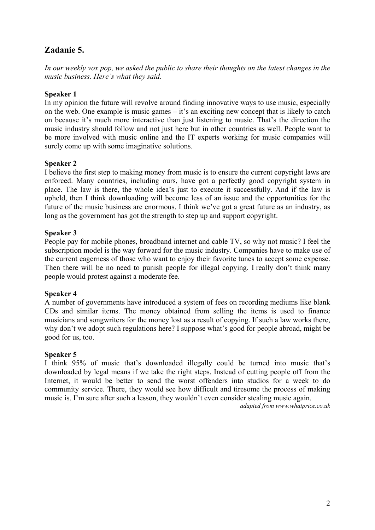# **Zadanie 5.**

*In our weekly vox pop, we asked the public to share their thoughts on the latest changes in the music business. Here's what they said.* 

### **Speaker 1**

In my opinion the future will revolve around finding innovative ways to use music, especially on the web. One example is music games – it's an exciting new concept that is likely to catch on because it's much more interactive than just listening to music. That's the direction the music industry should follow and not just here but in other countries as well. People want to be more involved with music online and the IT experts working for music companies will surely come up with some imaginative solutions.

## **Speaker 2**

I believe the first step to making money from music is to ensure the current copyright laws are enforced. Many countries, including ours, have got a perfectly good copyright system in place. The law is there, the whole idea's just to execute it successfully. And if the law is upheld, then I think downloading will become less of an issue and the opportunities for the future of the music business are enormous. I think we've got a great future as an industry, as long as the government has got the strength to step up and support copyright.

## **Speaker 3**

People pay for mobile phones, broadband internet and cable TV, so why not music? I feel the subscription model is the way forward for the music industry. Companies have to make use of the current eagerness of those who want to enjoy their favorite tunes to accept some expense. Then there will be no need to punish people for illegal copying. I really don't think many people would protest against a moderate fee.

### **Speaker 4**

A number of governments have introduced a system of fees on recording mediums like blank CDs and similar items. The money obtained from selling the items is used to finance musicians and songwriters for the money lost as a result of copying. If such a law works there, why don't we adopt such regulations here? I suppose what's good for people abroad, might be good for us, too.

### **Speaker 5**

I think 95% of music that's downloaded illegally could be turned into music that's downloaded by legal means if we take the right steps. Instead of cutting people off from the Internet, it would be better to send the worst offenders into studios for a week to do community service. There, they would see how difficult and tiresome the process of making music is. I'm sure after such a lesson, they wouldn't even consider stealing music again.

*adapted from www.whatprice.co.uk*